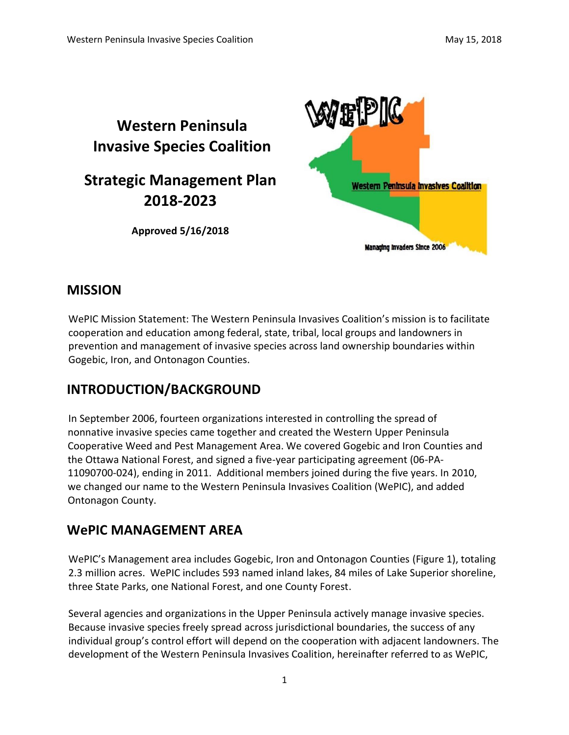

# **MISSION**

WePIC Mission Statement: The Western Peninsula Invasives Coalition's mission is to facilitate cooperation and education among federal, state, tribal, local groups and landowners in prevention and management of invasive species across land ownership boundaries within Gogebic, Iron, and Ontonagon Counties.

# **INTRODUCTION/BACKGROUND**

In September 2006, fourteen organizations interested in controlling the spread of nonnative invasive species came together and created the Western Upper Peninsula Cooperative Weed and Pest Management Area. We covered Gogebic and Iron Counties and the Ottawa National Forest, and signed a five-year participating agreement (06-PA-11090700-024), ending in 2011. Additional members joined during the five years. In 2010, we changed our name to the Western Peninsula Invasives Coalition (WePIC), and added Ontonagon County.

# **WePIC MANAGEMENT AREA**

WePIC's Management area includes Gogebic, Iron and Ontonagon Counties (Figure 1), totaling 2.3 million acres. WePIC includes 593 named inland lakes, 84 miles of Lake Superior shoreline, three State Parks, one National Forest, and one County Forest.

Several agencies and organizations in the Upper Peninsula actively manage invasive species. Because invasive species freely spread across jurisdictional boundaries, the success of any individual group's control effort will depend on the cooperation with adjacent landowners. The development of the Western Peninsula Invasives Coalition, hereinafter referred to as WePIC,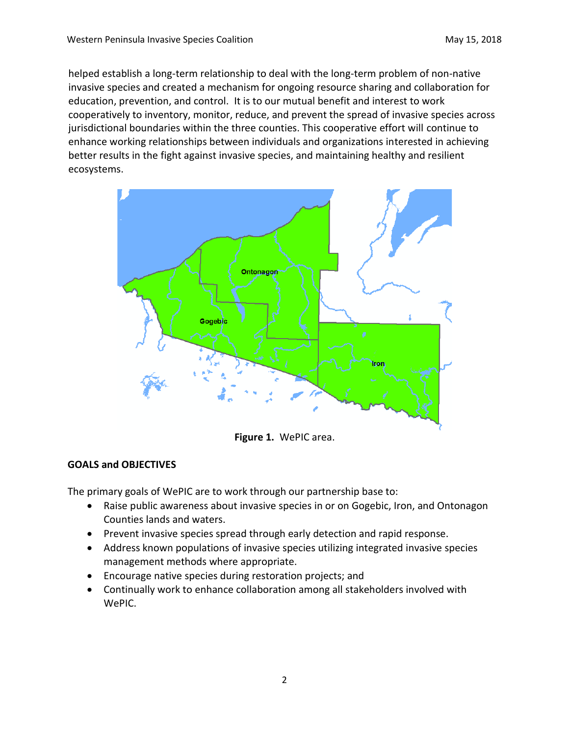helped establish a long-term relationship to deal with the long-term problem of non-native invasive species and created a mechanism for ongoing resource sharing and collaboration for education, prevention, and control. It is to our mutual benefit and interest to work cooperatively to inventory, monitor, reduce, and prevent the spread of invasive species across jurisdictional boundaries within the three counties. This cooperative effort will continue to enhance working relationships between individuals and organizations interested in achieving better results in the fight against invasive species, and maintaining healthy and resilient ecosystems.



**Figure 1.** WePIC area.

#### **GOALS and OBJECTIVES**

The primary goals of WePIC are to work through our partnership base to:

- Raise public awareness about invasive species in or on Gogebic, Iron, and Ontonagon Counties lands and waters.
- Prevent invasive species spread through early detection and rapid response.
- Address known populations of invasive species utilizing integrated invasive species management methods where appropriate.
- Encourage native species during restoration projects; and
- Continually work to enhance collaboration among all stakeholders involved with WePIC.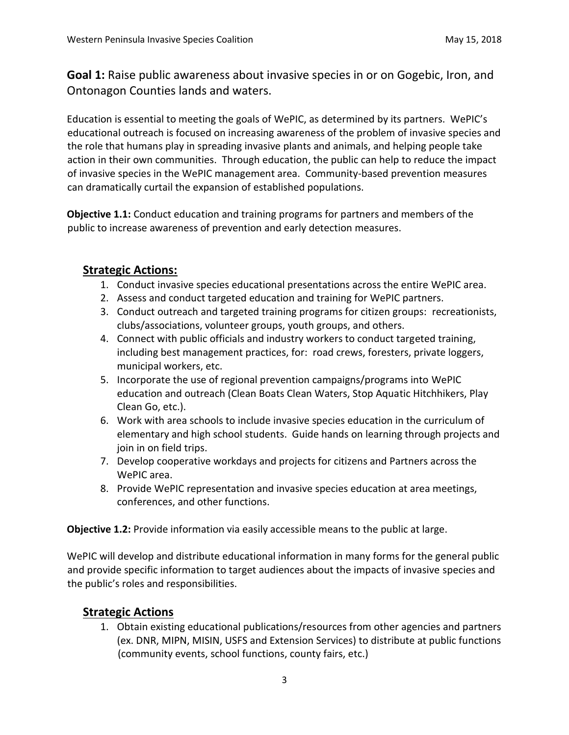**Goal 1:** Raise public awareness about invasive species in or on Gogebic, Iron, and Ontonagon Counties lands and waters.

Education is essential to meeting the goals of WePIC, as determined by its partners. WePIC's educational outreach is focused on increasing awareness of the problem of invasive species and the role that humans play in spreading invasive plants and animals, and helping people take action in their own communities. Through education, the public can help to reduce the impact of invasive species in the WePIC management area. Community-based prevention measures can dramatically curtail the expansion of established populations.

**Objective 1.1:** Conduct education and training programs for partners and members of the public to increase awareness of prevention and early detection measures.

## **Strategic Actions:**

- 1. Conduct invasive species educational presentations across the entire WePIC area.
- 2. Assess and conduct targeted education and training for WePIC partners.
- 3. Conduct outreach and targeted training programs for citizen groups: recreationists, clubs/associations, volunteer groups, youth groups, and others.
- 4. Connect with public officials and industry workers to conduct targeted training, including best management practices, for: road crews, foresters, private loggers, municipal workers, etc.
- 5. Incorporate the use of regional prevention campaigns/programs into WePIC education and outreach (Clean Boats Clean Waters, Stop Aquatic Hitchhikers, Play Clean Go, etc.).
- 6. Work with area schools to include invasive species education in the curriculum of elementary and high school students. Guide hands on learning through projects and join in on field trips.
- 7. Develop cooperative workdays and projects for citizens and Partners across the WePIC area.
- 8. Provide WePIC representation and invasive species education at area meetings, conferences, and other functions.

**Objective 1.2:** Provide information via easily accessible means to the public at large.

WePIC will develop and distribute educational information in many forms for the general public and provide specific information to target audiences about the impacts of invasive species and the public's roles and responsibilities.

### **Strategic Actions**

1. Obtain existing educational publications/resources from other agencies and partners (ex. DNR, MIPN, MISIN, USFS and Extension Services) to distribute at public functions (community events, school functions, county fairs, etc.)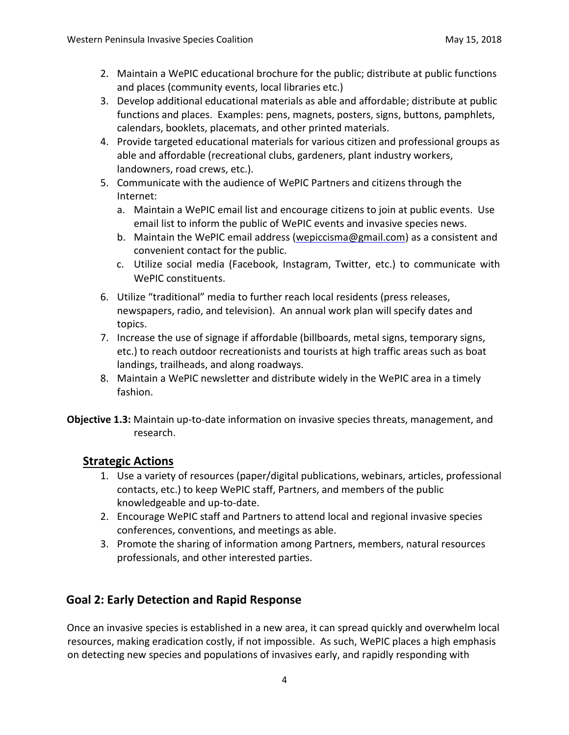- 2. Maintain a WePIC educational brochure for the public; distribute at public functions and places (community events, local libraries etc.)
- 3. Develop additional educational materials as able and affordable; distribute at public functions and places. Examples: pens, magnets, posters, signs, buttons, pamphlets, calendars, booklets, placemats, and other printed materials.
- 4. Provide targeted educational materials for various citizen and professional groups as able and affordable (recreational clubs, gardeners, plant industry workers, landowners, road crews, etc.).
- 5. Communicate with the audience of WePIC Partners and citizens through the Internet:
	- a. Maintain a WePIC email list and encourage citizens to join at public events. Use email list to inform the public of WePIC events and invasive species news.
	- b. Maintain the WePIC email address (wepiccisma@gmail.com) as a consistent and convenient contact for the public.
	- c. Utilize social media (Facebook, Instagram, Twitter, etc.) to communicate with WePIC constituents.
- 6. Utilize "traditional" media to further reach local residents (press releases, newspapers, radio, and television). An annual work plan will specify dates and topics.
- 7. Increase the use of signage if affordable (billboards, metal signs, temporary signs, etc.) to reach outdoor recreationists and tourists at high traffic areas such as boat landings, trailheads, and along roadways.
- 8. Maintain a WePIC newsletter and distribute widely in the WePIC area in a timely fashion.
- **Objective 1.3:** Maintain up-to-date information on invasive species threats, management, and research.

### **Strategic Actions**

- 1. Use a variety of resources (paper/digital publications, webinars, articles, professional contacts, etc.) to keep WePIC staff, Partners, and members of the public knowledgeable and up-to-date.
- 2. Encourage WePIC staff and Partners to attend local and regional invasive species conferences, conventions, and meetings as able.
- 3. Promote the sharing of information among Partners, members, natural resources professionals, and other interested parties.

# **Goal 2: Early Detection and Rapid Response**

Once an invasive species is established in a new area, it can spread quickly and overwhelm local resources, making eradication costly, if not impossible. As such, WePIC places a high emphasis on detecting new species and populations of invasives early, and rapidly responding with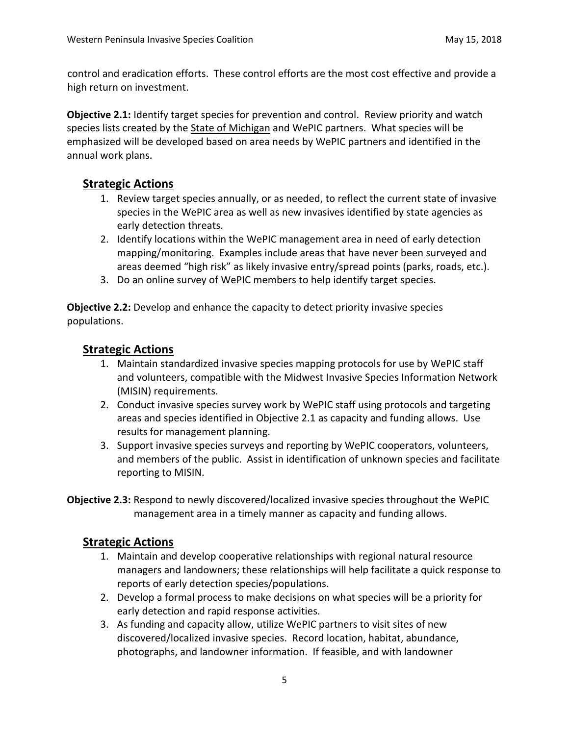control and eradication efforts. These control efforts are the most cost effective and provide a high return on investment.

**Objective 2.1:** Identify target species for prevention and control. Review priority and watch species lists created by the [State of Michigan](http://www.michigan.gov/invasives/0,5664,7-324-68002_71240---,00.html) and WePIC partners. What species will be emphasized will be developed based on area needs by WePIC partners and identified in the annual work plans.

### **Strategic Actions**

- 1. Review target species annually, or as needed, to reflect the current state of invasive species in the WePIC area as well as new invasives identified by state agencies as early detection threats.
- 2. Identify locations within the WePIC management area in need of early detection mapping/monitoring. Examples include areas that have never been surveyed and areas deemed "high risk" as likely invasive entry/spread points (parks, roads, etc.).
- 3. Do an online survey of WePIC members to help identify target species.

**Objective 2.2:** Develop and enhance the capacity to detect priority invasive species populations.

### **Strategic Actions**

- 1. Maintain standardized invasive species mapping protocols for use by WePIC staff and volunteers, compatible with the Midwest Invasive Species Information Network (MISIN) requirements.
- 2. Conduct invasive species survey work by WePIC staff using protocols and targeting areas and species identified in Objective 2.1 as capacity and funding allows. Use results for management planning.
- 3. Support invasive species surveys and reporting by WePIC cooperators, volunteers, and members of the public. Assist in identification of unknown species and facilitate reporting to MISIN.
- **Objective 2.3:** Respond to newly discovered/localized invasive species throughout the WePIC management area in a timely manner as capacity and funding allows.

### **Strategic Actions**

- 1. Maintain and develop cooperative relationships with regional natural resource managers and landowners; these relationships will help facilitate a quick response to reports of early detection species/populations.
- 2. Develop a formal process to make decisions on what species will be a priority for early detection and rapid response activities.
- 3. As funding and capacity allow, utilize WePIC partners to visit sites of new discovered/localized invasive species. Record location, habitat, abundance, photographs, and landowner information. If feasible, and with landowner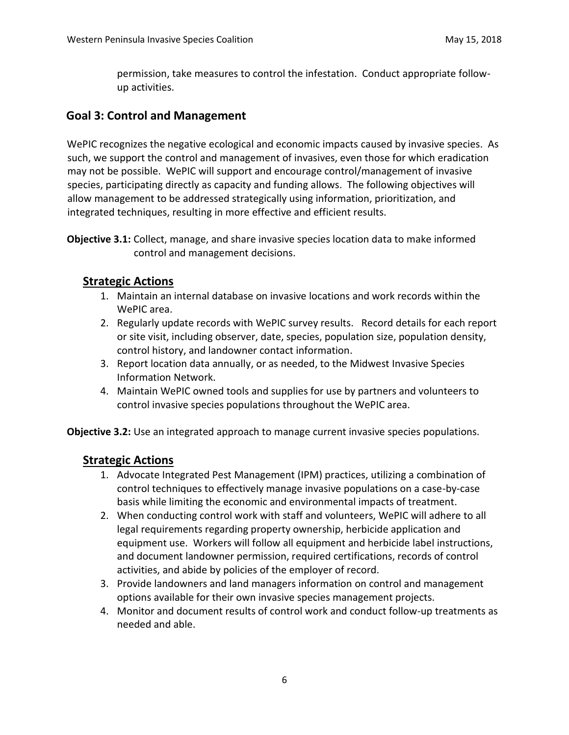permission, take measures to control the infestation. Conduct appropriate followup activities.

#### **Goal 3: Control and Management**

WePIC recognizes the negative ecological and economic impacts caused by invasive species. As such, we support the control and management of invasives, even those for which eradication may not be possible. WePIC will support and encourage control/management of invasive species, participating directly as capacity and funding allows. The following objectives will allow management to be addressed strategically using information, prioritization, and integrated techniques, resulting in more effective and efficient results.

**Objective 3.1:** Collect, manage, and share invasive species location data to make informed control and management decisions.

#### **Strategic Actions**

- 1. Maintain an internal database on invasive locations and work records within the WePIC area.
- 2. Regularly update records with WePIC survey results. Record details for each report or site visit, including observer, date, species, population size, population density, control history, and landowner contact information.
- 3. Report location data annually, or as needed, to the Midwest Invasive Species Information Network.
- 4. Maintain WePIC owned tools and supplies for use by partners and volunteers to control invasive species populations throughout the WePIC area.

**Objective 3.2:** Use an integrated approach to manage current invasive species populations.

#### **Strategic Actions**

- 1. Advocate Integrated Pest Management (IPM) practices, utilizing a combination of control techniques to effectively manage invasive populations on a case-by-case basis while limiting the economic and environmental impacts of treatment.
- 2. When conducting control work with staff and volunteers, WePIC will adhere to all legal requirements regarding property ownership, herbicide application and equipment use. Workers will follow all equipment and herbicide label instructions, and document landowner permission, required certifications, records of control activities, and abide by policies of the employer of record.
- 3. Provide landowners and land managers information on control and management options available for their own invasive species management projects.
- 4. Monitor and document results of control work and conduct follow-up treatments as needed and able.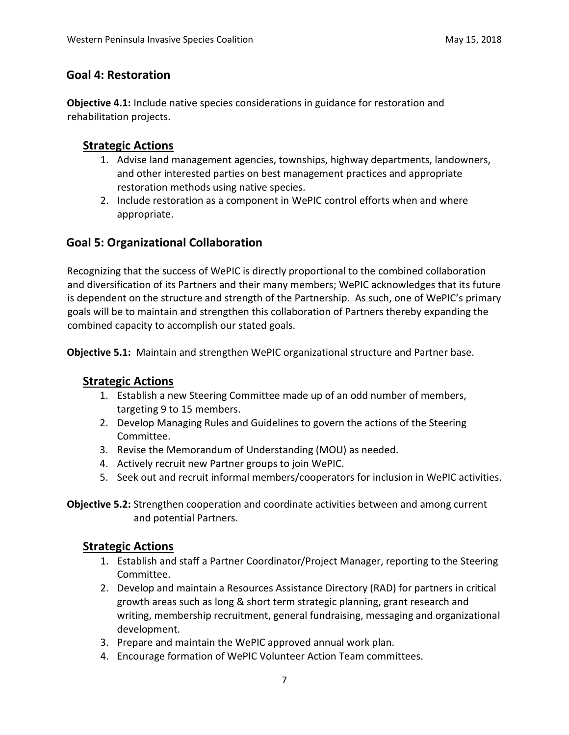#### **Goal 4: Restoration**

**Objective 4.1:** Include native species considerations in guidance for restoration and rehabilitation projects.

#### **Strategic Actions**

- 1. Advise land management agencies, townships, highway departments, landowners, and other interested parties on best management practices and appropriate restoration methods using native species.
- 2. Include restoration as a component in WePIC control efforts when and where appropriate.

### **Goal 5: Organizational Collaboration**

Recognizing that the success of WePIC is directly proportional to the combined collaboration and diversification of its Partners and their many members; WePIC acknowledges that its future is dependent on the structure and strength of the Partnership. As such, one of WePIC's primary goals will be to maintain and strengthen this collaboration of Partners thereby expanding the combined capacity to accomplish our stated goals.

**Objective 5.1:** Maintain and strengthen WePIC organizational structure and Partner base.

### **Strategic Actions**

- 1. Establish a new Steering Committee made up of an odd number of members, targeting 9 to 15 members.
- 2. Develop Managing Rules and Guidelines to govern the actions of the Steering Committee.
- 3. Revise the Memorandum of Understanding (MOU) as needed.
- 4. Actively recruit new Partner groups to join WePIC.
- 5. Seek out and recruit informal members/cooperators for inclusion in WePIC activities.

**Objective 5.2:** Strengthen cooperation and coordinate activities between and among current and potential Partners.

#### **Strategic Actions**

- 1. Establish and staff a Partner Coordinator/Project Manager, reporting to the Steering Committee.
- 2. Develop and maintain a Resources Assistance Directory (RAD) for partners in critical growth areas such as long & short term strategic planning, grant research and writing, membership recruitment, general fundraising, messaging and organizational development.
- 3. Prepare and maintain the WePIC approved annual work plan.
- 4. Encourage formation of WePIC Volunteer Action Team committees.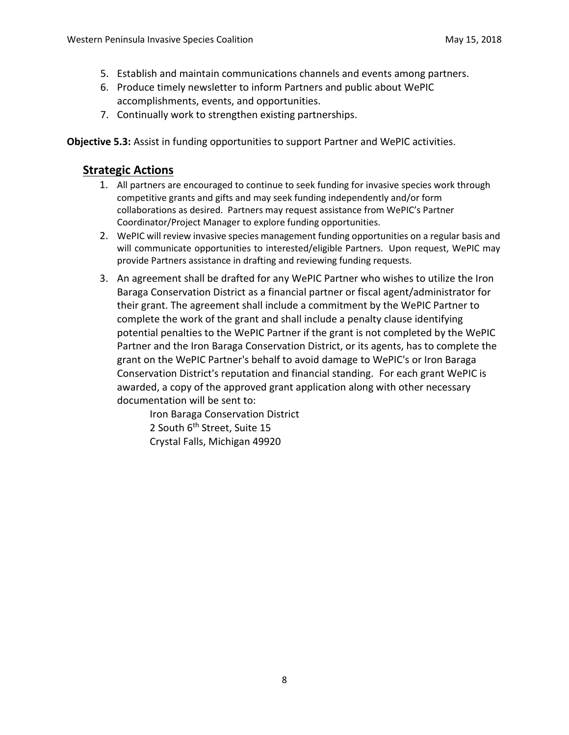- 5. Establish and maintain communications channels and events among partners.
- 6. Produce timely newsletter to inform Partners and public about WePIC accomplishments, events, and opportunities.
- 7. Continually work to strengthen existing partnerships.

**Objective 5.3:** Assist in funding opportunities to support Partner and WePIC activities.

#### **Strategic Actions**

- 1. All partners are encouraged to continue to seek funding for invasive species work through competitive grants and gifts and may seek funding independently and/or form collaborations as desired. Partners may request assistance from WePIC's Partner Coordinator/Project Manager to explore funding opportunities.
- 2. WePIC will review invasive species management funding opportunities on a regular basis and will communicate opportunities to interested/eligible Partners. Upon request, WePIC may provide Partners assistance in drafting and reviewing funding requests.
- 3. An agreement shall be drafted for any WePIC Partner who wishes to utilize the Iron Baraga Conservation District as a financial partner or fiscal agent/administrator for their grant. The agreement shall include a commitment by the WePIC Partner to complete the work of the grant and shall include a penalty clause identifying potential penalties to the WePIC Partner if the grant is not completed by the WePIC Partner and the Iron Baraga Conservation District, or its agents, has to complete the grant on the WePIC Partner's behalf to avoid damage to WePIC's or Iron Baraga Conservation District's reputation and financial standing. For each grant WePIC is awarded, a copy of the approved grant application along with other necessary documentation will be sent to:

Iron Baraga Conservation District 2 South 6<sup>th</sup> Street, Suite 15 Crystal Falls, Michigan 49920